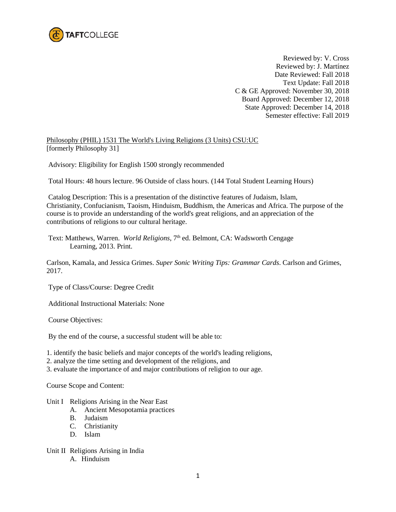

 Reviewed by: V. Cross Reviewed by: J. Martínez Date Reviewed: Fall 2018 Text Update: Fall 2018 C & GE Approved: November 30, 2018 Board Approved: December 12, 2018 State Approved: December 14, 2018 Semester effective: Fall 2019

Philosophy (PHIL) 1531 The World's Living Religions (3 Units) CSU:UC [formerly Philosophy 31]

Advisory: Eligibility for English 1500 strongly recommended

Total Hours: 48 hours lecture. 96 Outside of class hours. (144 Total Student Learning Hours)

Catalog Description: This is a presentation of the distinctive features of Judaism, Islam, Christianity, Confucianism, Taoism, Hinduism, Buddhism, the Americas and Africa. The purpose of the course is to provide an understanding of the world's great religions, and an appreciation of the contributions of religions to our cultural heritage.

Text: Matthews, Warren. *World Religions*, 7<sup>th</sup> ed. Belmont, CA: Wadsworth Cengage Learning, 2013. Print.

Carlson, Kamala, and Jessica Grimes. *Super Sonic Writing Tips: Grammar Cards*. Carlson and Grimes, 2017.

Type of Class/Course: Degree Credit

Additional Instructional Materials: None

Course Objectives:

By the end of the course, a successful student will be able to:

1. identify the basic beliefs and major concepts of the world's leading religions,

2. analyze the time setting and development of the religions, and

3. evaluate the importance of and major contributions of religion to our age.

Course Scope and Content:

Unit I Religions Arising in the Near East

- A. Ancient Mesopotamia practices
- B. Judaism
- C. Christianity
- D. Islam
- Unit II Religions Arising in India
	- A. Hinduism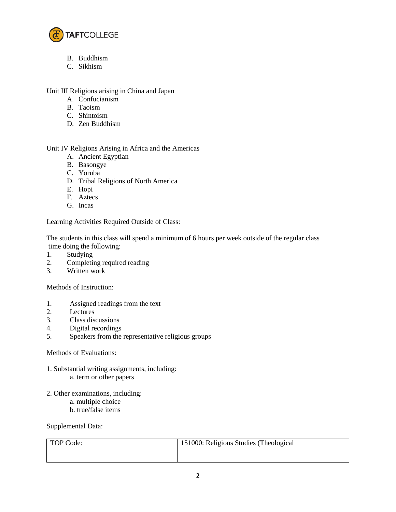

- B. Buddhism
- C. Sikhism

Unit III Religions arising in China and Japan

- A. Confucianism
- B. Taoism
- C. Shintoism
- D. Zen Buddhism

## Unit IV Religions Arising in Africa and the Americas

- A. Ancient Egyptian
- B. Basongye
- C. Yoruba
- D. Tribal Religions of North America
- E. Hopi
- F. Aztecs
- G. Incas

Learning Activities Required Outside of Class:

The students in this class will spend a minimum of 6 hours per week outside of the regular class time doing the following:

- 1. Studying
- 2. Completing required reading
- 3. Written work

Methods of Instruction:

- 1. Assigned readings from the text
- 2. Lectures
- 3. Class discussions
- 4. Digital recordings
- 5. Speakers from the representative religious groups

Methods of Evaluations:

- 1. Substantial writing assignments, including: a. term or other papers
- 2. Other examinations, including:
	- a. multiple choice
	- b. true/false items

Supplemental Data:

| TOP Code: | 151000: Religious Studies (Theological |
|-----------|----------------------------------------|
|           |                                        |
|           |                                        |